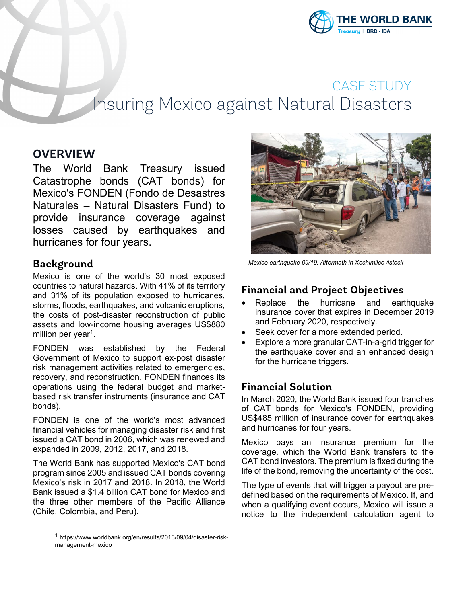

# CASE STUDY Insuring Mexico against Natural Disasters

# **OVERVIEW**

The World Bank Treasury issued Catastrophe bonds (CAT bonds) for Mexico's FONDEN (Fondo de Desastres Naturales – Natural Disasters Fund) to provide insurance coverage against losses caused by earthquakes and hurricanes for four years.

### **Background**

l

Mexico is one of the world's 30 most exposed countries to natural hazards. With 41% of its territory and 31% of its population exposed to hurricanes, storms, floods, earthquakes, and volcanic eruptions, the costs of post-disaster reconstruction of public assets and low-income housing averages US\$880 million per year<sup>[1](#page-0-0)</sup>.

FONDEN was established by the Federal Government of Mexico to support ex-post disaster risk management activities related to emergencies, recovery, and reconstruction. FONDEN finances its operations using the federal budget and marketbased risk transfer instruments (insurance and CAT bonds).

FONDEN is one of the world's most advanced financial vehicles for managing disaster risk and first issued a CAT bond in 2006, which was renewed and expanded in 2009, 2012, 2017, and 2018.

The World Bank has supported Mexico's CAT bond program since 2005 and issued CAT bonds covering Mexico's risk in 2017 and 2018. In 2018, the World Bank issued a \$1.4 billion CAT bond for Mexico and the three other members of the Pacific Alliance (Chile, Colombia, and Peru).



*Mexico earthquake 09/19: Aftermath in Xochimilco /istock*

# **Financial and Project Objectives**

- Replace the hurricane and earthquake insurance cover that expires in December 2019 and February 2020, respectively.
- Seek cover for a more extended period.
- Explore a more granular CAT-in-a-grid trigger for the earthquake cover and an enhanced design for the hurricane triggers.

# **Financial Solution**

In March 2020, the World Bank issued four tranches of CAT bonds for Mexico's FONDEN, providing US\$485 million of insurance cover for earthquakes and hurricanes for four years.

Mexico pays an insurance premium for the coverage, which the World Bank transfers to the CAT bond investors. The premium is fixed during the life of the bond, removing the uncertainty of the cost.

The type of events that will trigger a payout are predefined based on the requirements of Mexico. If, and when a qualifying event occurs, Mexico will issue a notice to the independent calculation agent to

<span id="page-0-0"></span><sup>1</sup> https://www.worldbank.org/en/results/2013/09/04/disaster-riskmanagement-mexico